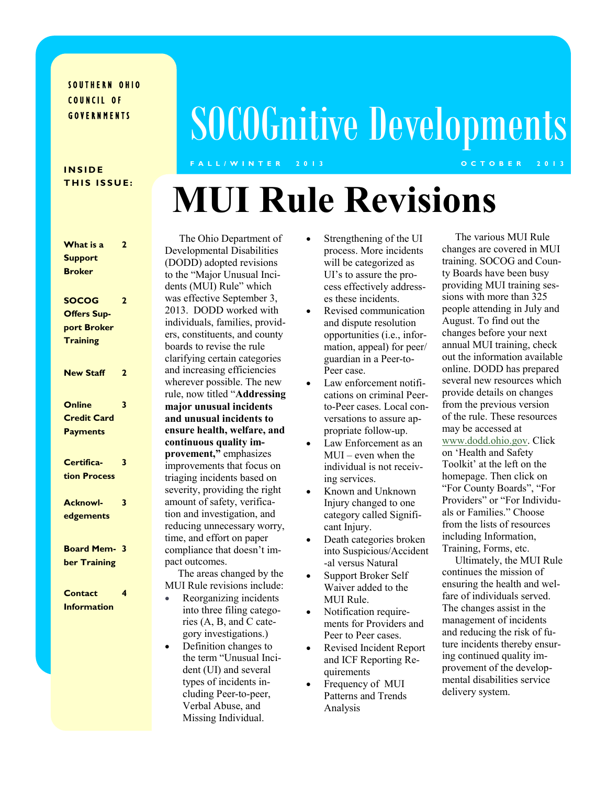### SOUTHERN OHIO COUNCIL OF **GOVERNMENTS**

# SOCOGnitive Developments

#### **I N S I D E THIS ISSUE:**

### **F A L L / W I N T E R 2 0 1 3 O C T O B E R 2 0 1 3**

# **MUI Rule Revisions**

| What is a          | 2              |  |
|--------------------|----------------|--|
| <b>Support</b>     |                |  |
| <b>Broker</b>      |                |  |
|                    |                |  |
| <b>SOCOG</b>       | $\overline{2}$ |  |
| <b>Offers Sup-</b> |                |  |
| port Broker        |                |  |
| <b>Training</b>    |                |  |
|                    |                |  |
| <b>New Staff</b>   | 2              |  |
|                    |                |  |
|                    |                |  |
| <b>Online</b>      | 3              |  |
| <b>Credit Card</b> |                |  |
| <b>Payments</b>    |                |  |
|                    |                |  |
| Certifica-         | 3              |  |
| tion Process       |                |  |
|                    |                |  |
| <b>Acknowl-</b>    | 3              |  |
| edgements          |                |  |
|                    |                |  |
| <b>Board Mem-</b>  | -3             |  |
| ber Training       |                |  |
|                    |                |  |
| <b>Contact</b>     | 4              |  |
| Information        |                |  |
|                    |                |  |
|                    |                |  |
|                    |                |  |

 The Ohio Department of Developmental Disabilities (DODD) adopted revisions to the "Major Unusual Incidents (MUI) Rule" which was effective September 3, 2013. DODD worked with individuals, families, providers, constituents, and county boards to revise the rule clarifying certain categories and increasing efficiencies wherever possible. The new rule, now titled "**Addressing major unusual incidents and unusual incidents to ensure health, welfare, and continuous quality improvement,"** emphasizes improvements that focus on triaging incidents based on severity, providing the right amount of safety, verification and investigation, and reducing unnecessary worry, time, and effort on paper compliance that doesn't impact outcomes.

 The areas changed by the MUI Rule revisions include:

- Reorganizing incidents into three filing categories (A, B, and C category investigations.)
- Definition changes to the term "Unusual Incident (UI) and several types of incidents including Peer-to-peer, Verbal Abuse, and Missing Individual.
- Strengthening of the UI process. More incidents will be categorized as UI's to assure the process effectively addresses these incidents.
- Revised communication and dispute resolution opportunities (i.e., information, appeal) for peer/ guardian in a Peer-to-Peer case.
- Law enforcement notifications on criminal Peerto-Peer cases. Local conversations to assure appropriate follow-up.
- Law Enforcement as an MUI – even when the individual is not receiving services.
- Known and Unknown Injury changed to one category called Significant Injury.
- Death categories broken into Suspicious/Accident -al versus Natural
- Support Broker Self Waiver added to the MUI Rule.
- Notification requirements for Providers and Peer to Peer cases.
- Revised Incident Report and ICF Reporting Requirements
- Frequency of MUI Patterns and Trends Analysis

 The various MUI Rule changes are covered in MUI training. SOCOG and County Boards have been busy providing MUI training sessions with more than 325 people attending in July and August. To find out the changes before your next annual MUI training, check out the information available online. DODD has prepared several new resources which provide details on changes from the previous version of the rule. These resources may be accessed at [www.dodd.ohio.gov.](http://www.dodd.ohio.gov) Click on 'Health and Safety Toolkit' at the left on the homepage. Then click on "For County Boards", "For Providers" or "For Individuals or Families." Choose from the lists of resources including Information, Training, Forms, etc.

 Ultimately, the MUI Rule continues the mission of ensuring the health and welfare of individuals served. The changes assist in the management of incidents and reducing the risk of future incidents thereby ensuring continued quality improvement of the developmental disabilities service delivery system.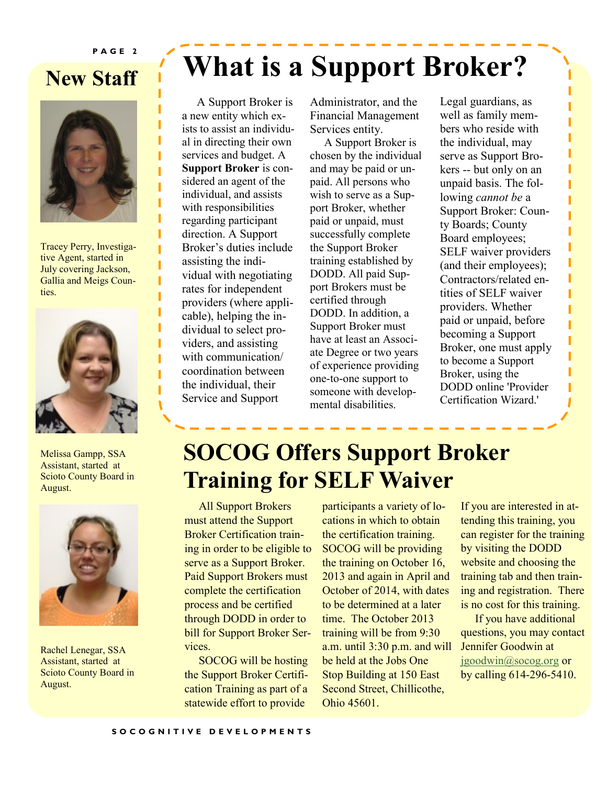#### **P A G E 2**

## **New Staff**



Tracey Perry, Investigative Agent, started in July covering Jackson, Gallia and Meigs Counties.



Melissa Gampp, SSA Assistant, started at Scioto County Board in August.



Rachel Lenegar, SSA Assistant, started at Scioto County Board in August.

# **What is a Support Broker?**

 A Support Broker is a new entity which exists to assist an individual in directing their own services and budget. A **Support Broker** is considered an agent of the individual, and assists with responsibilities regarding participant direction. A Support Broker's duties include assisting the individual with negotiating rates for independent providers (where applicable), helping the individual to select providers, and assisting with communication/ coordination between the individual, their Service and Support

Administrator, and the Financial Management Services entity.

 A Support Broker is chosen by the individual and may be paid or unpaid. All persons who wish to serve as a Support Broker, whether paid or unpaid, must successfully complete the Support Broker training established by DODD. All paid Support Brokers must be certified through DODD. In addition, a Support Broker must have at least an Associate Degree or two years of experience providing one-to-one support to someone with developmental disabilities.

Legal guardians, as well as family members who reside with the individual, may serve as Support Brokers -- but only on an unpaid basis. The following *cannot be* a Support Broker: County Boards; County Board employees; SELF waiver providers (and their employees); Contractors/related entities of SELF waiver providers. Whether paid or unpaid, before becoming a Support Broker, one must apply to become a Support Broker, using the DODD online 'Provider Certification Wizard.'

# **SOCOG Offers Support Broker Training for SELF Waiver**

 All Support Brokers must attend the Support Broker Certification training in order to be eligible to serve as a Support Broker. Paid Support Brokers must complete the certification process and be certified through DODD in order to bill for Support Broker Services.

 SOCOG will be hosting the Support Broker Certification Training as part of a statewide effort to provide

participants a variety of locations in which to obtain the certification training. SOCOG will be providing the training on October 16, 2013 and again in April and October of 2014, with dates to be determined at a later time. The October 2013 training will be from 9:30 a.m. until 3:30 p.m. and will be held at the Jobs One Stop Building at 150 East Second Street, Chillicothe, Ohio 45601.

If you are interested in attending this training, you can register for the training by visiting the DODD website and choosing the training tab and then training and registration. There is no cost for this training.

 If you have additional questions, you may contact Jennifer Goodwin at [jgoodwin@socog.org](mailto:jgoodwin@socog.org) or by calling 614-296-5410.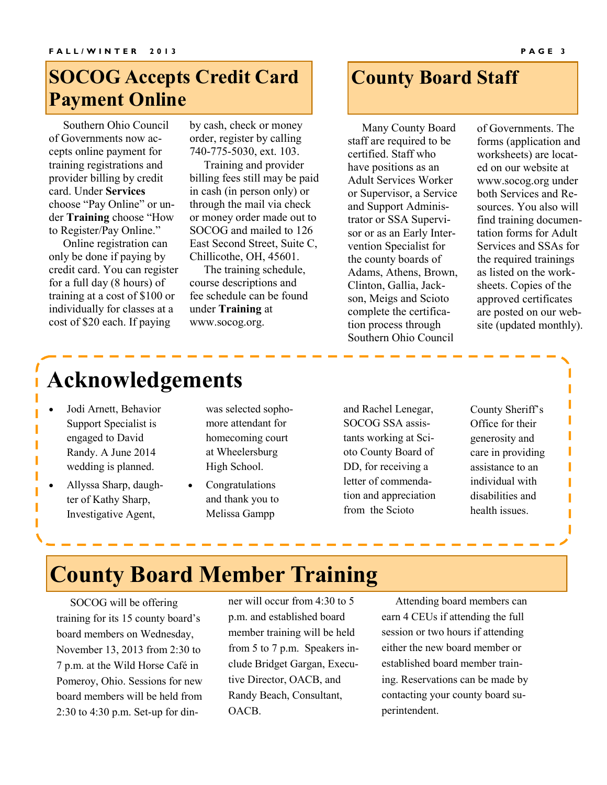### **SOCOG Accepts Credit Card Payment Online**

 Southern Ohio Council of Governments now accepts online payment for training registrations and provider billing by credit card. Under **Services** choose "Pay Online" or under **Training** choose "How to Register/Pay Online."

 Online registration can only be done if paying by credit card. You can register for a full day (8 hours) of training at a cost of \$100 or individually for classes at a cost of \$20 each. If paying

by cash, check or money order, register by calling 740-775-5030, ext. 103.

 Training and provider billing fees still may be paid in cash (in person only) or through the mail via check or money order made out to SOCOG and mailed to 126 East Second Street, Suite C, Chillicothe, OH, 45601.

 The training schedule, course descriptions and fee schedule can be found under **Training** at www.socog.org.

### **County Board Staff**

 Many County Board staff are required to be certified. Staff who have positions as an Adult Services Worker or Supervisor, a Service and Support Administrator or SSA Supervisor or as an Early Intervention Specialist for the county boards of Adams, Athens, Brown, Clinton, Gallia, Jackson, Meigs and Scioto complete the certification process through Southern Ohio Council

of Governments. The forms (application and worksheets) are located on our website at www.socog.org under both Services and Resources. You also will find training documentation forms for Adult Services and SSAs for the required trainings as listed on the worksheets. Copies of the approved certificates are posted on our website (updated monthly).

# **Acknowledgements**

- Jodi Arnett, Behavior Support Specialist is engaged to David Randy. A June 2014 wedding is planned.
- Allyssa Sharp, daughter of Kathy Sharp, Investigative Agent,

was selected sophomore attendant for homecoming court at Wheelersburg High School.

 Congratulations and thank you to Melissa Gampp

and Rachel Lenegar, SOCOG SSA assistants working at Scioto County Board of DD, for receiving a letter of commendation and appreciation from the Scioto

County Sheriff's Office for their generosity and care in providing assistance to an individual with disabilities and health issues.

## **County Board Member Training**

 SOCOG will be offering training for its 15 county board's board members on Wednesday, November 13, 2013 from 2:30 to 7 p.m. at the Wild Horse Café in Pomeroy, Ohio. Sessions for new board members will be held from 2:30 to 4:30 p.m. Set-up for dinner will occur from 4:30 to 5 p.m. and established board member training will be held from 5 to 7 p.m. Speakers include Bridget Gargan, Executive Director, OACB, and Randy Beach, Consultant, OACB.

 Attending board members can earn 4 CEUs if attending the full session or two hours if attending either the new board member or established board member training. Reservations can be made by contacting your county board superintendent.